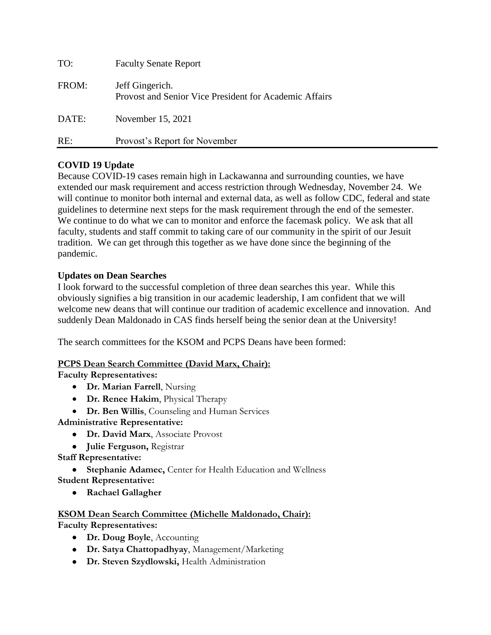| TO:   | <b>Faculty Senate Report</b>                                              |
|-------|---------------------------------------------------------------------------|
| FROM: | Jeff Gingerich.<br>Provost and Senior Vice President for Academic Affairs |
| DATE: | November 15, 2021                                                         |
| RE:   | Provost's Report for November                                             |

## **COVID 19 Update**

Because COVID-19 cases remain high in Lackawanna and surrounding counties, we have extended our mask requirement and access restriction through Wednesday, November 24. We will continue to monitor both internal and external data, as well as follow CDC, federal and state guidelines to determine next steps for the mask requirement through the end of the semester. We continue to do what we can to monitor and enforce the facemask policy. We ask that all faculty, students and staff commit to taking care of our community in the spirit of our Jesuit tradition. We can get through this together as we have done since the beginning of the pandemic.

## **Updates on Dean Searches**

I look forward to the successful completion of three dean searches this year. While this obviously signifies a big transition in our academic leadership, I am confident that we will welcome new deans that will continue our tradition of academic excellence and innovation. And suddenly Dean Maldonado in CAS finds herself being the senior dean at the University!

The search committees for the KSOM and PCPS Deans have been formed:

#### **PCPS Dean Search Committee (David Marx, Chair):**

**Faculty Representatives:**

- **Dr. Marian Farrell**, Nursing
- **Dr. Renee Hakim**, Physical Therapy
- **Dr. Ben Willis**, Counseling and Human Services

**Administrative Representative:**

- **Dr. David Marx**, Associate Provost
- **Julie Ferguson,** Registrar

**Staff Representative:**

• **Stephanie Adamec,** Center for Health Education and Wellness **Student Representative:**

• **Rachael Gallagher**

# **KSOM Dean Search Committee (Michelle Maldonado, Chair):**

**Faculty Representatives:**

- **Dr. Doug Boyle**, Accounting
- **Dr. Satya Chattopadhyay**, Management/Marketing
- **Dr. Steven Szydlowski,** Health Administration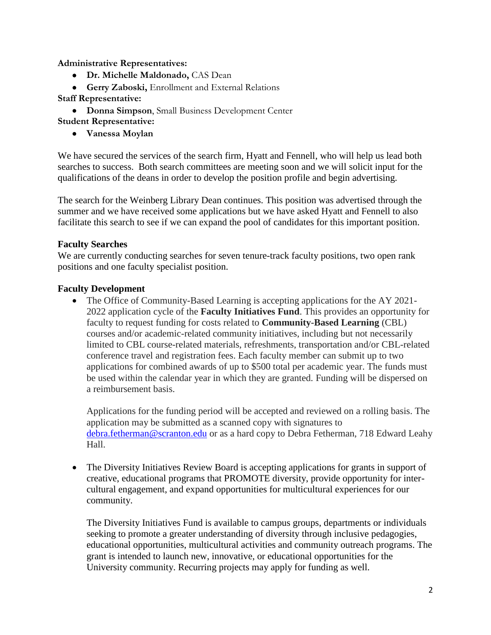**Administrative Representatives:**

- **Dr. Michelle Maldonado,** CAS Dean
- **Gerry Zaboski,** Enrollment and External Relations
- **Staff Representative:**

• **Donna Simpson**, Small Business Development Center **Student Representative:**

• **Vanessa Moylan**

We have secured the services of the search firm, Hyatt and Fennell, who will help us lead both searches to success. Both search committees are meeting soon and we will solicit input for the qualifications of the deans in order to develop the position profile and begin advertising.

The search for the Weinberg Library Dean continues. This position was advertised through the summer and we have received some applications but we have asked Hyatt and Fennell to also facilitate this search to see if we can expand the pool of candidates for this important position.

## **Faculty Searches**

We are currently conducting searches for seven tenure-track faculty positions, two open rank positions and one faculty specialist position.

## **Faculty Development**

• The Office of Community-Based Learning is accepting applications for the AY 2021-2022 application cycle of the **Faculty Initiatives Fund**. This provides an opportunity for faculty to request funding for costs related to **Community-Based Learning** (CBL) courses and/or academic-related community initiatives, including but not necessarily limited to CBL course-related materials, refreshments, transportation and/or CBL-related conference travel and registration fees. Each faculty member can submit up to two applications for combined awards of up to \$500 total per academic year. The funds must be used within the calendar year in which they are granted. Funding will be dispersed on a reimbursement basis.

Applications for the funding period will be accepted and reviewed on a rolling basis. The application may be submitted as a scanned copy with signatures to [debra.fetherman@scranton.edu](mailto:debra.fetherman@scranton.edu) or as a hard copy to Debra Fetherman, 718 Edward Leahy Hall.

• The Diversity Initiatives Review Board is accepting applications for grants in support of creative, educational programs that PROMOTE diversity, provide opportunity for intercultural engagement, and expand opportunities for multicultural experiences for our community.

The Diversity Initiatives Fund is available to campus groups, departments or individuals seeking to promote a greater understanding of diversity through inclusive pedagogies, educational opportunities, multicultural activities and community outreach programs. The grant is intended to launch new, innovative, or educational opportunities for the University community. Recurring projects may apply for funding as well.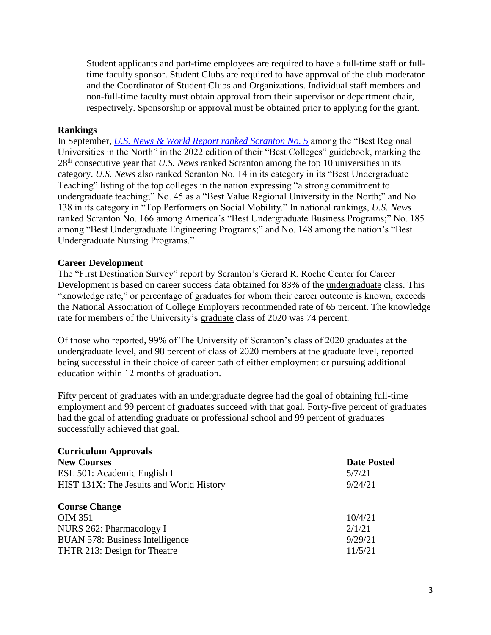Student applicants and part-time employees are required to have a full-time staff or fulltime faculty sponsor. Student Clubs are required to have approval of the club moderator and the Coordinator of Student Clubs and Organizations. Individual staff members and non-full-time faculty must obtain approval from their supervisor or department chair, respectively. Sponsorship or approval must be obtained prior to applying for the grant.

#### **Rankings**

In September, *[U.S. News & World Report ranked Scranton No. 5](https://news.scranton.edu/articles/2021/09/news-usnews-2022.shtml)* among the "Best Regional Universities in the North" in the 2022 edition of their "Best Colleges" guidebook, marking the 28th consecutive year that *U.S. News* ranked Scranton among the top 10 universities in its category. *U.S. News* also ranked Scranton No. 14 in its category in its "Best Undergraduate Teaching" listing of the top colleges in the nation expressing "a strong commitment to undergraduate teaching;" No. 45 as a "Best Value Regional University in the North;" and No. 138 in its category in "Top Performers on Social Mobility." In national rankings, *U.S. News* ranked Scranton No. 166 among America's "Best Undergraduate Business Programs;" No. 185 among "Best Undergraduate Engineering Programs;" and No. 148 among the nation's "Best Undergraduate Nursing Programs."

#### **Career Development**

The "First Destination Survey" report by Scranton's Gerard R. Roche Center for Career Development is based on career success data obtained for 83% of the undergraduate class. This "knowledge rate," or percentage of graduates for whom their career outcome is known, exceeds the National Association of College Employers recommended rate of 65 percent. The knowledge rate for members of the University's graduate class of 2020 was 74 percent.

Of those who reported, 99% of The University of Scranton's class of 2020 graduates at the undergraduate level, and 98 percent of class of 2020 members at the graduate level, reported being successful in their choice of career path of either employment or pursuing additional education within 12 months of graduation.

Fifty percent of graduates with an undergraduate degree had the goal of obtaining full-time employment and 99 percent of graduates succeed with that goal. Forty-five percent of graduates had the goal of attending graduate or professional school and 99 percent of graduates successfully achieved that goal.

| <b>Curriculum Approvals</b>              |                    |
|------------------------------------------|--------------------|
| <b>New Courses</b>                       | <b>Date Posted</b> |
| ESL 501: Academic English I              | 5/7/21             |
| HIST 131X: The Jesuits and World History | 9/24/21            |
|                                          |                    |
| <b>Course Change</b>                     |                    |
| <b>OIM 351</b>                           | 10/4/21            |
| NURS 262: Pharmacology I                 | 2/1/21             |
| <b>BUAN 578: Business Intelligence</b>   | 9/29/21            |
| THTR 213: Design for Theatre             | 11/5/21            |